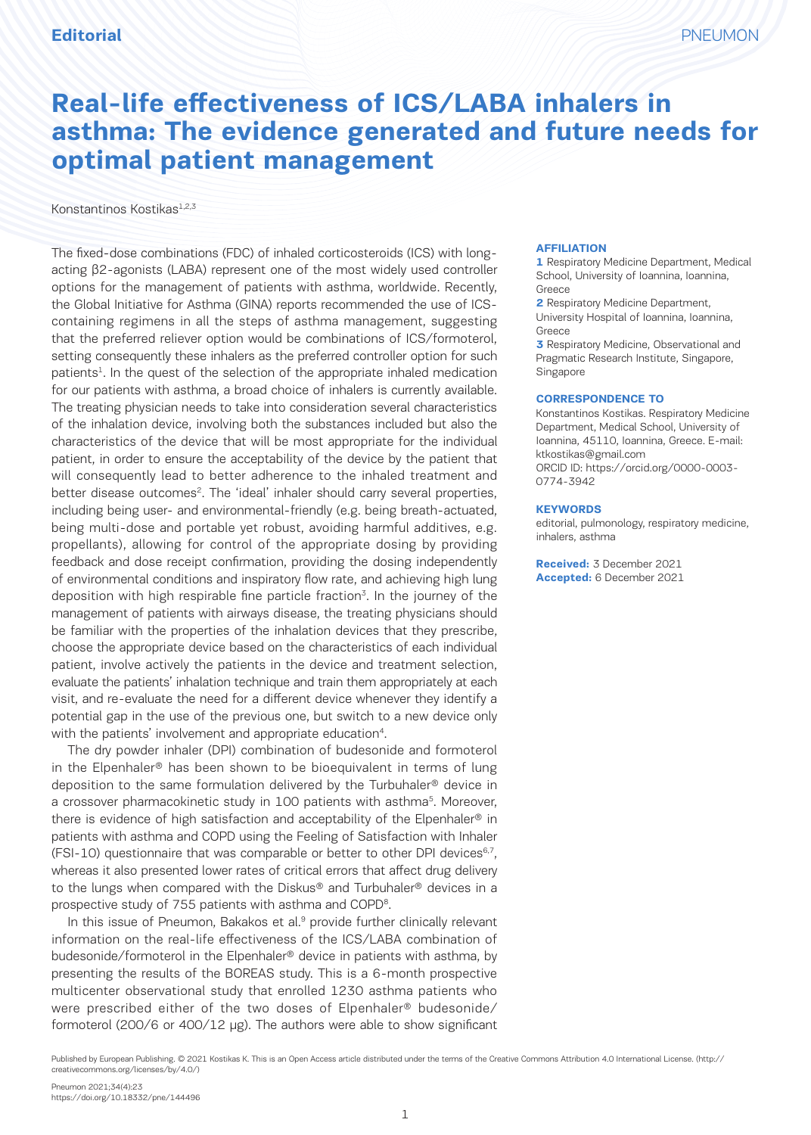# **Real-life effectiveness of ICS/LABA inhalers in asthma: The evidence generated and future needs for optimal patient management**

Konstantinos Kostikas<sup>1,2,3</sup>

The fixed-dose combinations (FDC) of inhaled corticosteroids (ICS) with longacting β2-agonists (LABA) represent one of the most widely used controller options for the management of patients with asthma, worldwide. Recently, the Global Initiative for Asthma (GINA) reports recommended the use of ICScontaining regimens in all the steps of asthma management, suggesting that the preferred reliever option would be combinations of ICS/formoterol, setting consequently these inhalers as the preferred controller option for such patients<sup>1</sup>. In the quest of the selection of the appropriate inhaled medication for our patients with asthma, a broad choice of inhalers is currently available. The treating physician needs to take into consideration several characteristics of the inhalation device, involving both the substances included but also the characteristics of the device that will be most appropriate for the individual patient, in order to ensure the acceptability of the device by the patient that will consequently lead to better adherence to the inhaled treatment and better disease outcomes<sup>2</sup>. The 'ideal' inhaler should carry several properties, including being user- and environmental-friendly (e.g. being breath-actuated, being multi-dose and portable yet robust, avoiding harmful additives, e.g. propellants), allowing for control of the appropriate dosing by providing feedback and dose receipt confirmation, providing the dosing independently of environmental conditions and inspiratory flow rate, and achieving high lung deposition with high respirable fine particle fraction<sup>3</sup>. In the journey of the management of patients with airways disease, the treating physicians should be familiar with the properties of the inhalation devices that they prescribe, choose the appropriate device based on the characteristics of each individual patient, involve actively the patients in the device and treatment selection, evaluate the patients' inhalation technique and train them appropriately at each visit, and re-evaluate the need for a different device whenever they identify a potential gap in the use of the previous one, but switch to a new device only with the patients' involvement and appropriate education<sup>4</sup>.

The dry powder inhaler (DPI) combination of budesonide and formoterol in the Elpenhaler® has been shown to be bioequivalent in terms of lung deposition to the same formulation delivered by the Turbuhaler® device in a crossover pharmacokinetic study in 100 patients with asthma<sup>5</sup>. Moreover, there is evidence of high satisfaction and acceptability of the Elpenhaler® in patients with asthma and COPD using the Feeling of Satisfaction with Inhaler (FSI-10) questionnaire that was comparable or better to other DPI devices<sup>6,7</sup>, whereas it also presented lower rates of critical errors that affect drug delivery to the lungs when compared with the Diskus® and Turbuhaler® devices in a prospective study of 755 patients with asthma and COPD<sup>8</sup>.

In this issue of Pneumon, Bakakos et al.<sup>9</sup> provide further clinically relevant information on the real-life effectiveness of the ICS/LABA combination of budesonide/formoterol in the Elpenhaler® device in patients with asthma, by presenting the results of the BOREAS study. This is a 6-month prospective multicenter observational study that enrolled 1230 asthma patients who were prescribed either of the two doses of Elpenhaler® budesonide/ formoterol (200/6 or 400/12 μg). The authors were able to show significant

#### **AFFILIATION**

**1** Respiratory Medicine Department, Medical School, University of Ioannina, Ioannina, Greece

**2** Respiratory Medicine Department, University Hospital of Ioannina, Ioannina, Greece

**3** Respiratory Medicine, Observational and Pragmatic Research Institute, Singapore, Singapore

#### **CORRESPONDENCE TO**

Konstantinos Kostikas. Respiratory Medicine Department, Medical School, University of Ioannina, 45110, Ioannina, Greece. E-mail: ktkostikas@gmail.com ORCID ID: https://orcid.org/0000-0003- 0774-3942

#### **KEYWORDS**

editorial, pulmonology, respiratory medicine, inhalers, asthma

**Received:** 3 December 2021 **Accepted:** 6 December 2021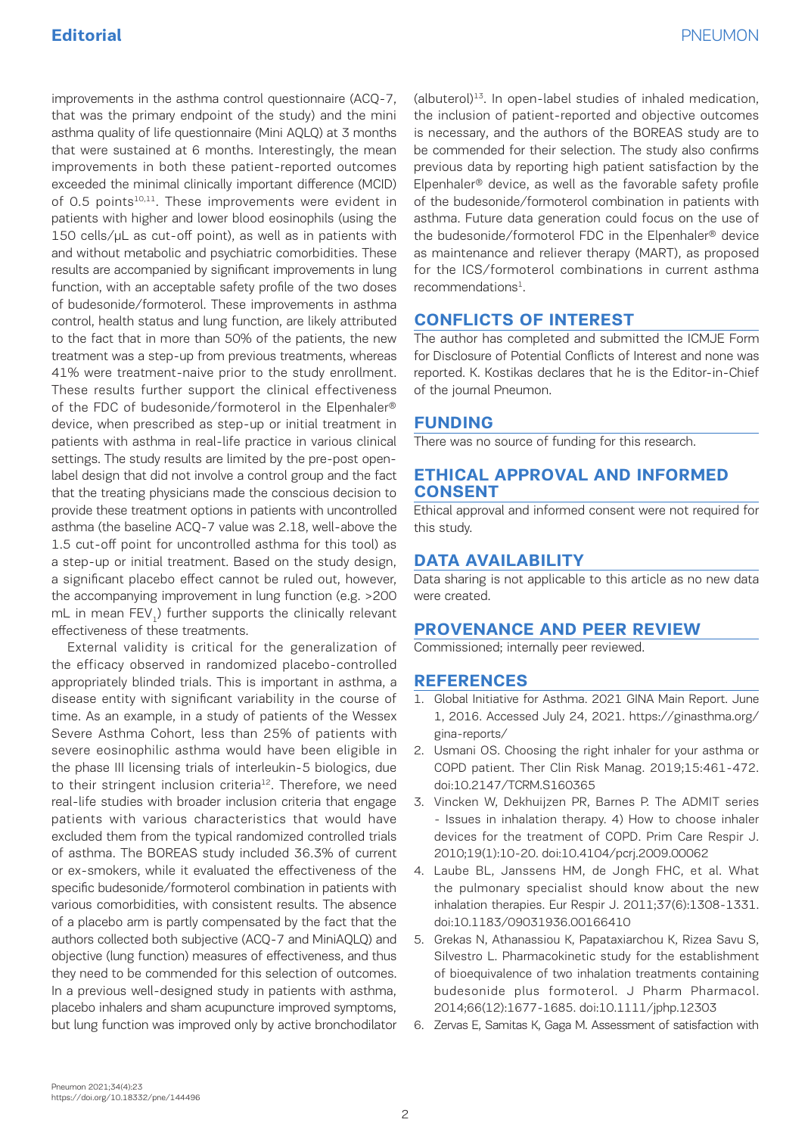improvements in the asthma control questionnaire (ACQ-7, that was the primary endpoint of the study) and the mini asthma quality of life questionnaire (Mini AQLQ) at 3 months that were sustained at 6 months. Interestingly, the mean improvements in both these patient-reported outcomes exceeded the minimal clinically important difference (MCID) of 0.5 points<sup>10,11</sup>. These improvements were evident in patients with higher and lower blood eosinophils (using the 150 cells/μL as cut-off point), as well as in patients with and without metabolic and psychiatric comorbidities. These results are accompanied by significant improvements in lung function, with an acceptable safety profile of the two doses of budesonide/formoterol. These improvements in asthma control, health status and lung function, are likely attributed to the fact that in more than 50% of the patients, the new treatment was a step-up from previous treatments, whereas 41% were treatment-naive prior to the study enrollment. These results further support the clinical effectiveness of the FDC of budesonide/formoterol in the Elpenhaler® device, when prescribed as step-up or initial treatment in patients with asthma in real-life practice in various clinical settings. The study results are limited by the pre-post openlabel design that did not involve a control group and the fact that the treating physicians made the conscious decision to provide these treatment options in patients with uncontrolled asthma (the baseline ACQ-7 value was 2.18, well-above the 1.5 cut-off point for uncontrolled asthma for this tool) as a step-up or initial treatment. Based on the study design, a significant placebo effect cannot be ruled out, however, the accompanying improvement in lung function (e.g. >200 mL in mean FEV<sub>1</sub>) further supports the clinically relevant effectiveness of these treatments.

External validity is critical for the generalization of the efficacy observed in randomized placebo-controlled appropriately blinded trials. This is important in asthma, a disease entity with significant variability in the course of time. As an example, in a study of patients of the Wessex Severe Asthma Cohort, less than 25% of patients with severe eosinophilic asthma would have been eligible in the phase III licensing trials of interleukin-5 biologics, due to their stringent inclusion criteria<sup>12</sup>. Therefore, we need real-life studies with broader inclusion criteria that engage patients with various characteristics that would have excluded them from the typical randomized controlled trials of asthma. The BOREAS study included 36.3% of current or ex-smokers, while it evaluated the effectiveness of the specific budesonide/formoterol combination in patients with various comorbidities, with consistent results. The absence of a placebo arm is partly compensated by the fact that the authors collected both subjective (ACQ-7 and MiniAQLQ) and objective (lung function) measures of effectiveness, and thus they need to be commended for this selection of outcomes. In a previous well-designed study in patients with asthma, placebo inhalers and sham acupuncture improved symptoms, but lung function was improved only by active bronchodilator

 $(d|b$ uterol $)^{13}$ . In open-label studies of inhaled medication, the inclusion of patient-reported and objective outcomes is necessary, and the authors of the BOREAS study are to be commended for their selection. The study also confirms previous data by reporting high patient satisfaction by the Elpenhaler® device, as well as the favorable safety profile of the budesonide/formoterol combination in patients with asthma. Future data generation could focus on the use of the budesonide/formoterol FDC in the Elpenhaler® device as maintenance and reliever therapy (MART), as proposed for the ICS/formoterol combinations in current asthma recommendations<sup>1</sup>.

## **CONFLICTS OF INTEREST**

The author has completed and submitted the ICMJE Form for Disclosure of Potential Conflicts of Interest and none was reported. K. Kostikas declares that he is the Editor-in-Chief of the journal Pneumon.

## **FUNDING**

There was no source of funding for this research.

## **ETHICAL APPROVAL AND INFORMED CONSENT**

Ethical approval and informed consent were not required for this study.

# **DATA AVAILABILITY**

Data sharing is not applicable to this article as no new data were created.

# **PROVENANCE AND PEER REVIEW**

Commissioned; internally peer reviewed.

## **REFERENCES**

- 1. Global Initiative for Asthma. 2021 GINA Main Report. June 1, 2016. Accessed July 24, 2021. https://ginasthma.org/ gina-reports/
- 2. Usmani OS. Choosing the right inhaler for your asthma or COPD patient. Ther Clin Risk Manag. 2019;15:461-472. doi:10.2147/TCRM.S160365
- 3. Vincken W, Dekhuijzen PR, Barnes P. The ADMIT series - Issues in inhalation therapy. 4) How to choose inhaler devices for the treatment of COPD. Prim Care Respir J. 2010;19(1):10-20. doi:10.4104/pcrj.2009.00062
- 4. Laube BL, Janssens HM, de Jongh FHC, et al. What the pulmonary specialist should know about the new inhalation therapies. Eur Respir J. 2011;37(6):1308-1331. doi:10.1183/09031936.00166410
- 5. Grekas N, Athanassiou K, Papataxiarchou K, Rizea Savu S, Silvestro L. Pharmacokinetic study for the establishment of bioequivalence of two inhalation treatments containing budesonide plus formoterol. J Pharm Pharmacol. 2014;66(12):1677-1685. doi:10.1111/jphp.12303
- 6. Zervas E, Samitas K, Gaga M. Assessment of satisfaction with